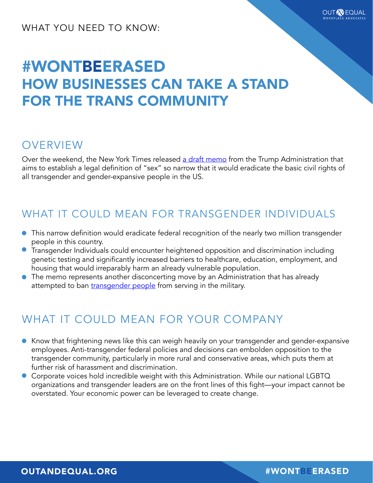#### WHAT YOU NEED TO KNOW:

# #WONTBEERASED HOW BUSINESSES CAN TAKE A STAND FOR THE TRANS COMMUNITY

#### **OVERVIEW**

Over the weekend, the New York Times released [a draft memo](https://www.nytimes.com/2018/10/21/us/politics/transgender-trump-administration-sex-definition.html) from the Trump Administration that aims to establish a legal definition of "sex" so narrow that it would eradicate the basic civil rights of all transgender and gender-expansive people in the US.

### WHAT IT COULD MEAN FOR TRANSGENDER INDIVIDUALS

- This narrow definition would eradicate federal recognition of the nearly two million transgender people in this country.
- **•** Transgender Individuals could encounter heightened opposition and discrimination including genetic testing and significantly increased barriers to healthcare, education, employment, and housing that would irreparably harm an already vulnerable population.
- The memo represents another disconcerting move by an Administration that has already attempted to ban [transgender people](http://outandequal.org/trump-announces-ban-on-transgender-people-in-the-u-s-military/) from serving in the military.

### WHAT IT COULD MEAN FOR YOUR COMPANY

- Know that frightening news like this can weigh heavily on your transgender and gender-expansive employees. Anti-transgender federal policies and decisions can embolden opposition to the transgender community, particularly in more rural and conservative areas, which puts them at further risk of harassment and discrimination.
- Corporate voices hold incredible weight with this Administration. While our national LGBTQ organizations and transgender leaders are on the front lines of this fight—your impact cannot be overstated. Your economic power can be leveraged to create change.